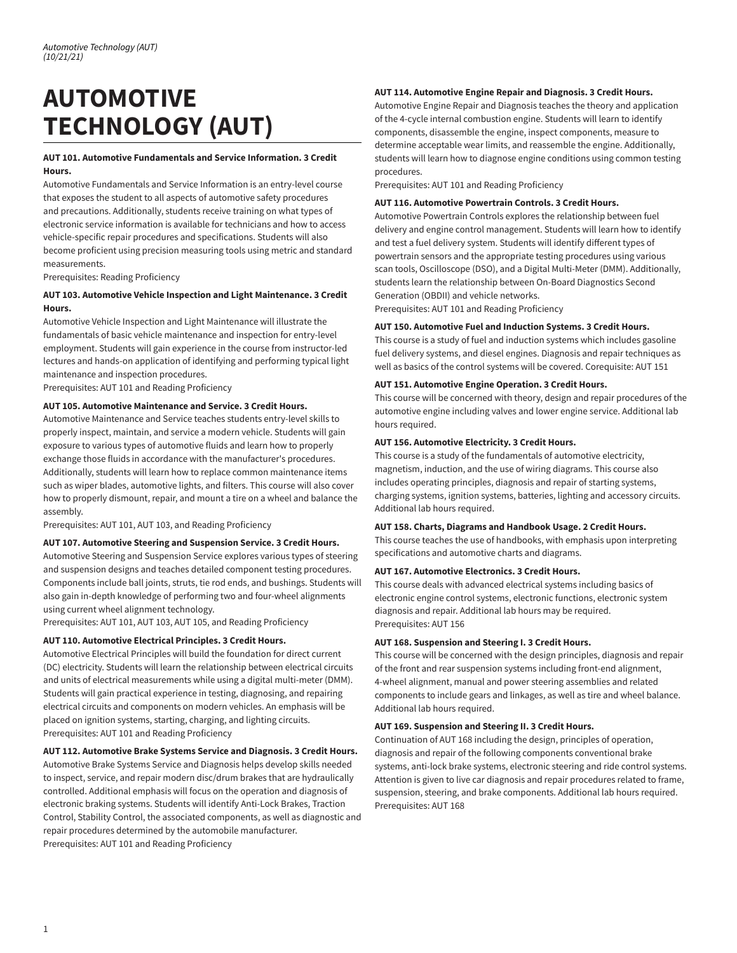# **AUTOMOTIVE TECHNOLOGY (AUT)**

# **AUT 101. Automotive Fundamentals and Service Information. 3 Credit Hours.**

Automotive Fundamentals and Service Information is an entry-level course that exposes the student to all aspects of automotive safety procedures and precautions. Additionally, students receive training on what types of electronic service information is available for technicians and how to access vehicle-specific repair procedures and specifications. Students will also become proficient using precision measuring tools using metric and standard measurements.

Prerequisites: Reading Proficiency

# **AUT 103. Automotive Vehicle Inspection and Light Maintenance. 3 Credit Hours.**

Automotive Vehicle Inspection and Light Maintenance will illustrate the fundamentals of basic vehicle maintenance and inspection for entry-level employment. Students will gain experience in the course from instructor-led lectures and hands-on application of identifying and performing typical light maintenance and inspection procedures.

Prerequisites: AUT 101 and Reading Proficiency

# **AUT 105. Automotive Maintenance and Service. 3 Credit Hours.**

Automotive Maintenance and Service teaches students entry-level skills to properly inspect, maintain, and service a modern vehicle. Students will gain exposure to various types of automotive fluids and learn how to properly exchange those fluids in accordance with the manufacturer's procedures. Additionally, students will learn how to replace common maintenance items such as wiper blades, automotive lights, and filters. This course will also cover how to properly dismount, repair, and mount a tire on a wheel and balance the assembly.

Prerequisites: AUT 101, AUT 103, and Reading Proficiency

# **AUT 107. Automotive Steering and Suspension Service. 3 Credit Hours.**

Automotive Steering and Suspension Service explores various types of steering and suspension designs and teaches detailed component testing procedures. Components include ball joints, struts, tie rod ends, and bushings. Students will also gain in-depth knowledge of performing two and four-wheel alignments using current wheel alignment technology.

Prerequisites: AUT 101, AUT 103, AUT 105, and Reading Proficiency

# **AUT 110. Automotive Electrical Principles. 3 Credit Hours.**

Automotive Electrical Principles will build the foundation for direct current (DC) electricity. Students will learn the relationship between electrical circuits and units of electrical measurements while using a digital multi-meter (DMM). Students will gain practical experience in testing, diagnosing, and repairing electrical circuits and components on modern vehicles. An emphasis will be placed on ignition systems, starting, charging, and lighting circuits. Prerequisites: AUT 101 and Reading Proficiency

# **AUT 112. Automotive Brake Systems Service and Diagnosis. 3 Credit Hours.**

Automotive Brake Systems Service and Diagnosis helps develop skills needed to inspect, service, and repair modern disc/drum brakes that are hydraulically controlled. Additional emphasis will focus on the operation and diagnosis of electronic braking systems. Students will identify Anti-Lock Brakes, Traction Control, Stability Control, the associated components, as well as diagnostic and repair procedures determined by the automobile manufacturer. Prerequisites: AUT 101 and Reading Proficiency

#### **AUT 114. Automotive Engine Repair and Diagnosis. 3 Credit Hours.**

Automotive Engine Repair and Diagnosis teaches the theory and application of the 4-cycle internal combustion engine. Students will learn to identify components, disassemble the engine, inspect components, measure to determine acceptable wear limits, and reassemble the engine. Additionally, students will learn how to diagnose engine conditions using common testing procedures.

Prerequisites: AUT 101 and Reading Proficiency

#### **AUT 116. Automotive Powertrain Controls. 3 Credit Hours.**

Automotive Powertrain Controls explores the relationship between fuel delivery and engine control management. Students will learn how to identify and test a fuel delivery system. Students will identify different types of powertrain sensors and the appropriate testing procedures using various scan tools, Oscilloscope (DSO), and a Digital Multi-Meter (DMM). Additionally, students learn the relationship between On-Board Diagnostics Second Generation (OBDII) and vehicle networks.

Prerequisites: AUT 101 and Reading Proficiency

# **AUT 150. Automotive Fuel and Induction Systems. 3 Credit Hours.**

This course is a study of fuel and induction systems which includes gasoline fuel delivery systems, and diesel engines. Diagnosis and repair techniques as well as basics of the control systems will be covered. Corequisite: AUT 151

# **AUT 151. Automotive Engine Operation. 3 Credit Hours.**

This course will be concerned with theory, design and repair procedures of the automotive engine including valves and lower engine service. Additional lab hours required.

# **AUT 156. Automotive Electricity. 3 Credit Hours.**

This course is a study of the fundamentals of automotive electricity, magnetism, induction, and the use of wiring diagrams. This course also includes operating principles, diagnosis and repair of starting systems, charging systems, ignition systems, batteries, lighting and accessory circuits. Additional lab hours required.

# **AUT 158. Charts, Diagrams and Handbook Usage. 2 Credit Hours.**

This course teaches the use of handbooks, with emphasis upon interpreting specifications and automotive charts and diagrams.

# **AUT 167. Automotive Electronics. 3 Credit Hours.**

This course deals with advanced electrical systems including basics of electronic engine control systems, electronic functions, electronic system diagnosis and repair. Additional lab hours may be required. Prerequisites: AUT 156

# **AUT 168. Suspension and Steering I. 3 Credit Hours.**

This course will be concerned with the design principles, diagnosis and repair of the front and rear suspension systems including front-end alignment, 4-wheel alignment, manual and power steering assemblies and related components to include gears and linkages, as well as tire and wheel balance. Additional lab hours required.

#### **AUT 169. Suspension and Steering II. 3 Credit Hours.**

Continuation of AUT 168 including the design, principles of operation, diagnosis and repair of the following components conventional brake systems, anti-lock brake systems, electronic steering and ride control systems. Attention is given to live car diagnosis and repair procedures related to frame, suspension, steering, and brake components. Additional lab hours required. Prerequisites: AUT 168